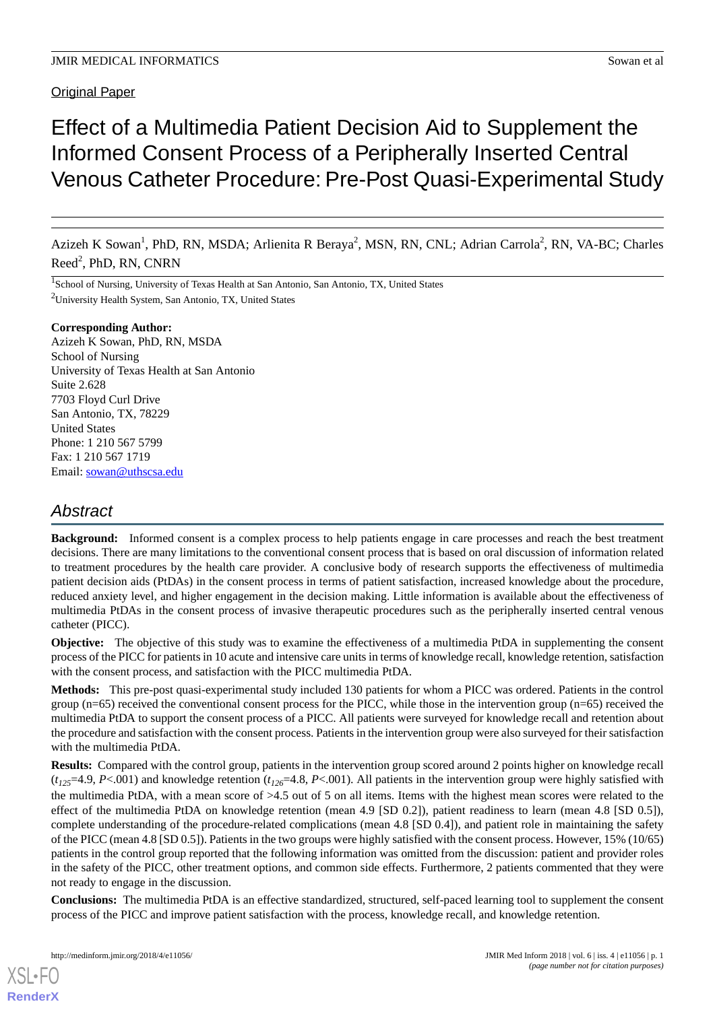### **Original Paper**

# Effect of a Multimedia Patient Decision Aid to Supplement the Informed Consent Process of a Peripherally Inserted Central Venous Catheter Procedure: Pre-Post Quasi-Experimental Study

Azizeh K Sowan<sup>1</sup>, PhD, RN, MSDA; Arlienita R Beraya<sup>2</sup>, MSN, RN, CNL; Adrian Carrola<sup>2</sup>, RN, VA-BC; Charles Reed<sup>2</sup>, PhD, RN, CNRN

<sup>1</sup>School of Nursing, University of Texas Health at San Antonio, San Antonio, TX, United States  $2$ University Health System, San Antonio, TX, United States

### **Corresponding Author:**

Azizeh K Sowan, PhD, RN, MSDA School of Nursing University of Texas Health at San Antonio Suite 2.628 7703 Floyd Curl Drive San Antonio, TX, 78229 United States Phone: 1 210 567 5799 Fax: 1 210 567 1719 Email: [sowan@uthscsa.edu](mailto:sowan@uthscsa.edu)

# *Abstract*

**Background:** Informed consent is a complex process to help patients engage in care processes and reach the best treatment decisions. There are many limitations to the conventional consent process that is based on oral discussion of information related to treatment procedures by the health care provider. A conclusive body of research supports the effectiveness of multimedia patient decision aids (PtDAs) in the consent process in terms of patient satisfaction, increased knowledge about the procedure, reduced anxiety level, and higher engagement in the decision making. Little information is available about the effectiveness of multimedia PtDAs in the consent process of invasive therapeutic procedures such as the peripherally inserted central venous catheter (PICC).

**Objective:** The objective of this study was to examine the effectiveness of a multimedia PtDA in supplementing the consent process of the PICC for patients in 10 acute and intensive care units in terms of knowledge recall, knowledge retention, satisfaction with the consent process, and satisfaction with the PICC multimedia PtDA.

**Methods:** This pre-post quasi-experimental study included 130 patients for whom a PICC was ordered. Patients in the control group  $(n=65)$  received the conventional consent process for the PICC, while those in the intervention group  $(n=65)$  received the multimedia PtDA to support the consent process of a PICC. All patients were surveyed for knowledge recall and retention about the procedure and satisfaction with the consent process. Patients in the intervention group were also surveyed for their satisfaction with the multimedia PtDA.

**Results:** Compared with the control group, patients in the intervention group scored around 2 points higher on knowledge recall  $(t_{125}=4.9, P<.001)$  and knowledge retention  $(t_{126}=4.8, P<.001)$ . All patients in the intervention group were highly satisfied with the multimedia PtDA, with a mean score of >4.5 out of 5 on all items. Items with the highest mean scores were related to the effect of the multimedia PtDA on knowledge retention (mean 4.9 [SD 0.2]), patient readiness to learn (mean 4.8 [SD 0.5]), complete understanding of the procedure-related complications (mean 4.8 [SD 0.4]), and patient role in maintaining the safety of the PICC (mean 4.8 [SD 0.5]). Patients in the two groups were highly satisfied with the consent process. However, 15% (10/65) patients in the control group reported that the following information was omitted from the discussion: patient and provider roles in the safety of the PICC, other treatment options, and common side effects. Furthermore, 2 patients commented that they were not ready to engage in the discussion.

**Conclusions:** The multimedia PtDA is an effective standardized, structured, self-paced learning tool to supplement the consent process of the PICC and improve patient satisfaction with the process, knowledge recall, and knowledge retention.

[XSL](http://www.w3.org/Style/XSL)•FO **[RenderX](http://www.renderx.com/)**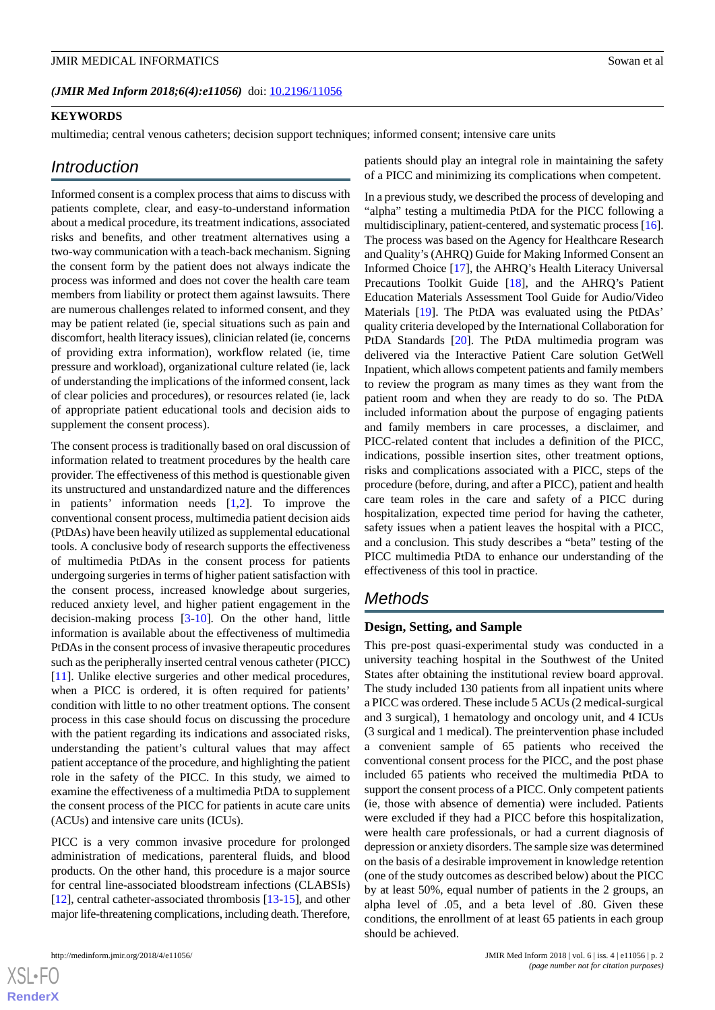### (JMIR Med Inform 2018;6(4):e11056) doi: [10.2196/11056](http://dx.doi.org/10.2196/11056)

### **KEYWORDS**

multimedia; central venous catheters; decision support techniques; informed consent; intensive care units

### *Introduction*

Informed consent is a complex process that aims to discuss with patients complete, clear, and easy-to-understand information about a medical procedure, its treatment indications, associated risks and benefits, and other treatment alternatives using a two-way communication with a teach-back mechanism. Signing the consent form by the patient does not always indicate the process was informed and does not cover the health care team members from liability or protect them against lawsuits. There are numerous challenges related to informed consent, and they may be patient related (ie, special situations such as pain and discomfort, health literacy issues), clinician related (ie, concerns of providing extra information), workflow related (ie, time pressure and workload), organizational culture related (ie, lack of understanding the implications of the informed consent, lack of clear policies and procedures), or resources related (ie, lack of appropriate patient educational tools and decision aids to supplement the consent process).

The consent process is traditionally based on oral discussion of information related to treatment procedures by the health care provider. The effectiveness of this method is questionable given its unstructured and unstandardized nature and the differences in patients' information needs [[1](#page-7-0)[,2](#page-7-1)]. To improve the conventional consent process, multimedia patient decision aids (PtDAs) have been heavily utilized as supplemental educational tools. A conclusive body of research supports the effectiveness of multimedia PtDAs in the consent process for patients undergoing surgeries in terms of higher patient satisfaction with the consent process, increased knowledge about surgeries, reduced anxiety level, and higher patient engagement in the decision-making process [[3](#page-7-2)[-10](#page-7-3)]. On the other hand, little information is available about the effectiveness of multimedia PtDAs in the consent process of invasive therapeutic procedures such as the peripherally inserted central venous catheter (PICC) [[11\]](#page-7-4). Unlike elective surgeries and other medical procedures, when a PICC is ordered, it is often required for patients' condition with little to no other treatment options. The consent process in this case should focus on discussing the procedure with the patient regarding its indications and associated risks, understanding the patient's cultural values that may affect patient acceptance of the procedure, and highlighting the patient role in the safety of the PICC. In this study, we aimed to examine the effectiveness of a multimedia PtDA to supplement the consent process of the PICC for patients in acute care units (ACUs) and intensive care units (ICUs).

PICC is a very common invasive procedure for prolonged administration of medications, parenteral fluids, and blood products. On the other hand, this procedure is a major source for central line-associated bloodstream infections (CLABSIs) [[12\]](#page-7-5), central catheter-associated thrombosis [\[13](#page-7-6)-[15\]](#page-7-7), and other major life-threatening complications, including death. Therefore,

 $XS$  • FO **[RenderX](http://www.renderx.com/)**

patients should play an integral role in maintaining the safety of a PICC and minimizing its complications when competent.

In a previous study, we described the process of developing and "alpha" testing a multimedia PtDA for the PICC following a multidisciplinary, patient-centered, and systematic process [\[16](#page-7-8)]. The process was based on the Agency for Healthcare Research and Quality's (AHRQ) Guide for Making Informed Consent an Informed Choice [[17\]](#page-8-0), the AHRQ's Health Literacy Universal Precautions Toolkit Guide [\[18](#page-8-1)], and the AHRQ's Patient Education Materials Assessment Tool Guide for Audio/Video Materials [\[19](#page-8-2)]. The PtDA was evaluated using the PtDAs' quality criteria developed by the International Collaboration for PtDA Standards [[20\]](#page-8-3). The PtDA multimedia program was delivered via the Interactive Patient Care solution GetWell Inpatient, which allows competent patients and family members to review the program as many times as they want from the patient room and when they are ready to do so. The PtDA included information about the purpose of engaging patients and family members in care processes, a disclaimer, and PICC-related content that includes a definition of the PICC, indications, possible insertion sites, other treatment options, risks and complications associated with a PICC, steps of the procedure (before, during, and after a PICC), patient and health care team roles in the care and safety of a PICC during hospitalization, expected time period for having the catheter, safety issues when a patient leaves the hospital with a PICC, and a conclusion. This study describes a "beta" testing of the PICC multimedia PtDA to enhance our understanding of the effectiveness of this tool in practice.

### *Methods*

### **Design, Setting, and Sample**

This pre-post quasi-experimental study was conducted in a university teaching hospital in the Southwest of the United States after obtaining the institutional review board approval. The study included 130 patients from all inpatient units where a PICC was ordered. These include 5 ACUs (2 medical-surgical and 3 surgical), 1 hematology and oncology unit, and 4 ICUs (3 surgical and 1 medical). The preintervention phase included a convenient sample of 65 patients who received the conventional consent process for the PICC, and the post phase included 65 patients who received the multimedia PtDA to support the consent process of a PICC. Only competent patients (ie, those with absence of dementia) were included. Patients were excluded if they had a PICC before this hospitalization, were health care professionals, or had a current diagnosis of depression or anxiety disorders. The sample size was determined on the basis of a desirable improvement in knowledge retention (one of the study outcomes as described below) about the PICC by at least 50%, equal number of patients in the 2 groups, an alpha level of .05, and a beta level of .80. Given these conditions, the enrollment of at least 65 patients in each group should be achieved.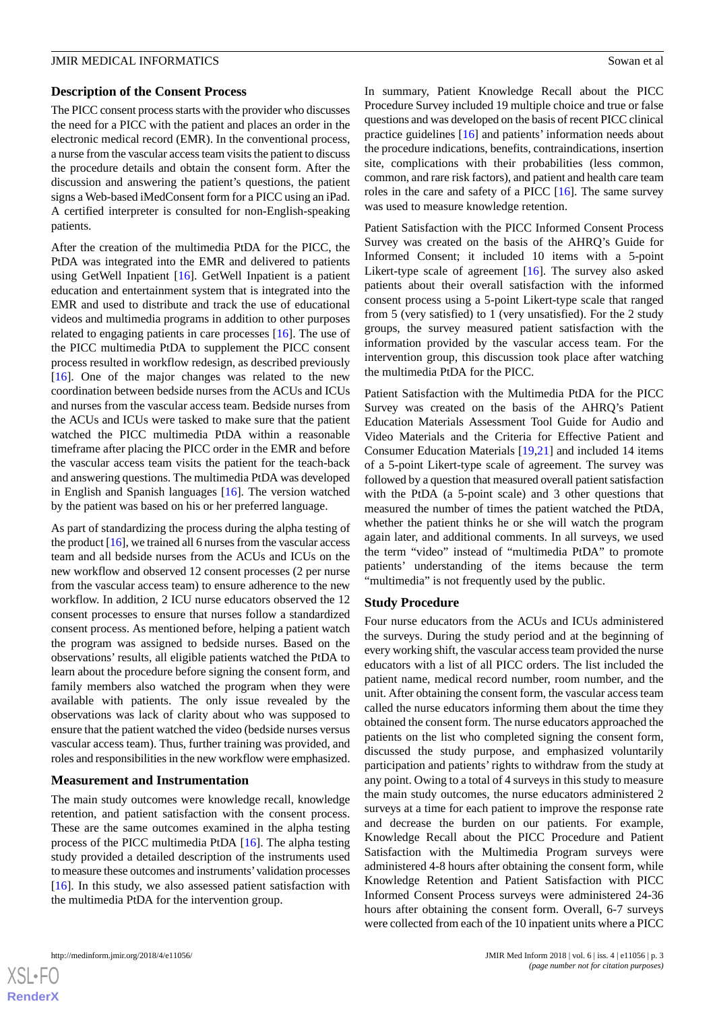### **Description of the Consent Process**

The PICC consent process starts with the provider who discusses the need for a PICC with the patient and places an order in the electronic medical record (EMR). In the conventional process, a nurse from the vascular access team visits the patient to discuss the procedure details and obtain the consent form. After the discussion and answering the patient's questions, the patient signs a Web-based iMedConsent form for a PICC using an iPad. A certified interpreter is consulted for non-English-speaking patients.

After the creation of the multimedia PtDA for the PICC, the PtDA was integrated into the EMR and delivered to patients using GetWell Inpatient [\[16](#page-7-8)]. GetWell Inpatient is a patient education and entertainment system that is integrated into the EMR and used to distribute and track the use of educational videos and multimedia programs in addition to other purposes related to engaging patients in care processes [\[16](#page-7-8)]. The use of the PICC multimedia PtDA to supplement the PICC consent process resulted in workflow redesign, as described previously [[16\]](#page-7-8). One of the major changes was related to the new coordination between bedside nurses from the ACUs and ICUs and nurses from the vascular access team. Bedside nurses from the ACUs and ICUs were tasked to make sure that the patient watched the PICC multimedia PtDA within a reasonable timeframe after placing the PICC order in the EMR and before the vascular access team visits the patient for the teach-back and answering questions. The multimedia PtDA was developed in English and Spanish languages [\[16](#page-7-8)]. The version watched by the patient was based on his or her preferred language.

As part of standardizing the process during the alpha testing of the product  $[16]$  $[16]$  $[16]$ , we trained all 6 nurses from the vascular access team and all bedside nurses from the ACUs and ICUs on the new workflow and observed 12 consent processes (2 per nurse from the vascular access team) to ensure adherence to the new workflow. In addition, 2 ICU nurse educators observed the 12 consent processes to ensure that nurses follow a standardized consent process. As mentioned before, helping a patient watch the program was assigned to bedside nurses. Based on the observations' results, all eligible patients watched the PtDA to learn about the procedure before signing the consent form, and family members also watched the program when they were available with patients. The only issue revealed by the observations was lack of clarity about who was supposed to ensure that the patient watched the video (bedside nurses versus vascular access team). Thus, further training was provided, and roles and responsibilities in the new workflow were emphasized.

### **Measurement and Instrumentation**

The main study outcomes were knowledge recall, knowledge retention, and patient satisfaction with the consent process. These are the same outcomes examined in the alpha testing process of the PICC multimedia PtDA [[16\]](#page-7-8). The alpha testing study provided a detailed description of the instruments used to measure these outcomes and instruments'validation processes [[16\]](#page-7-8). In this study, we also assessed patient satisfaction with the multimedia PtDA for the intervention group.

In summary, Patient Knowledge Recall about the PICC Procedure Survey included 19 multiple choice and true or false questions and was developed on the basis of recent PICC clinical practice guidelines [\[16](#page-7-8)] and patients' information needs about the procedure indications, benefits, contraindications, insertion site, complications with their probabilities (less common, common, and rare risk factors), and patient and health care team roles in the care and safety of a PICC [[16\]](#page-7-8). The same survey was used to measure knowledge retention.

Patient Satisfaction with the PICC Informed Consent Process Survey was created on the basis of the AHRQ's Guide for Informed Consent; it included 10 items with a 5-point Likert-type scale of agreement [\[16](#page-7-8)]. The survey also asked patients about their overall satisfaction with the informed consent process using a 5-point Likert-type scale that ranged from 5 (very satisfied) to 1 (very unsatisfied). For the 2 study groups, the survey measured patient satisfaction with the information provided by the vascular access team. For the intervention group, this discussion took place after watching the multimedia PtDA for the PICC.

Patient Satisfaction with the Multimedia PtDA for the PICC Survey was created on the basis of the AHRQ's Patient Education Materials Assessment Tool Guide for Audio and Video Materials and the Criteria for Effective Patient and Consumer Education Materials [[19,](#page-8-2)[21\]](#page-8-4) and included 14 items of a 5-point Likert-type scale of agreement. The survey was followed by a question that measured overall patient satisfaction with the PtDA (a 5-point scale) and 3 other questions that measured the number of times the patient watched the PtDA, whether the patient thinks he or she will watch the program again later, and additional comments. In all surveys, we used the term "video" instead of "multimedia PtDA" to promote patients' understanding of the items because the term "multimedia" is not frequently used by the public.

### **Study Procedure**

Four nurse educators from the ACUs and ICUs administered the surveys. During the study period and at the beginning of every working shift, the vascular access team provided the nurse educators with a list of all PICC orders. The list included the patient name, medical record number, room number, and the unit. After obtaining the consent form, the vascular access team called the nurse educators informing them about the time they obtained the consent form. The nurse educators approached the patients on the list who completed signing the consent form, discussed the study purpose, and emphasized voluntarily participation and patients' rights to withdraw from the study at any point. Owing to a total of 4 surveys in this study to measure the main study outcomes, the nurse educators administered 2 surveys at a time for each patient to improve the response rate and decrease the burden on our patients. For example, Knowledge Recall about the PICC Procedure and Patient Satisfaction with the Multimedia Program surveys were administered 4-8 hours after obtaining the consent form, while Knowledge Retention and Patient Satisfaction with PICC Informed Consent Process surveys were administered 24-36 hours after obtaining the consent form. Overall, 6-7 surveys were collected from each of the 10 inpatient units where a PICC



**[RenderX](http://www.renderx.com/)**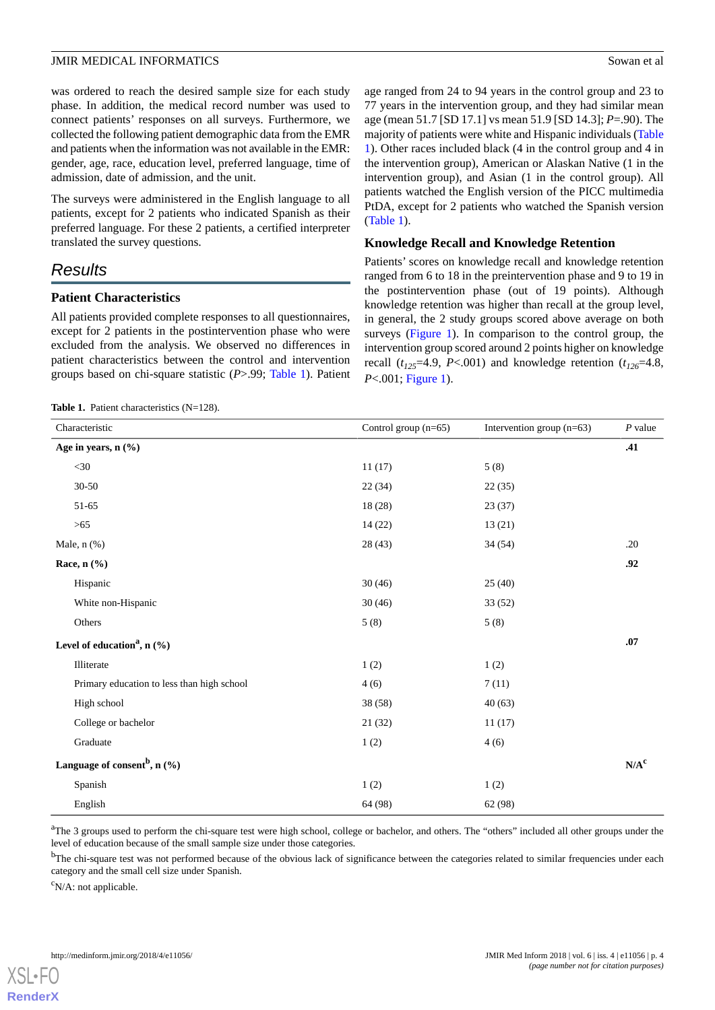was ordered to reach the desired sample size for each study phase. In addition, the medical record number was used to connect patients' responses on all surveys. Furthermore, we collected the following patient demographic data from the EMR and patients when the information was not available in the EMR: gender, age, race, education level, preferred language, time of admission, date of admission, and the unit.

The surveys were administered in the English language to all patients, except for 2 patients who indicated Spanish as their preferred language. For these 2 patients, a certified interpreter translated the survey questions.

## *Results*

### **Patient Characteristics**

All patients provided complete responses to all questionnaires, except for 2 patients in the postintervention phase who were excluded from the analysis. We observed no differences in patient characteristics between the control and intervention groups based on chi-square statistic (*P*>.99; [Table 1\)](#page-3-0). Patient

<span id="page-3-0"></span>Table 1. Patient characteristics (N=128).

age ranged from 24 to 94 years in the control group and 23 to 77 years in the intervention group, and they had similar mean age (mean 51.7 [SD 17.1] vs mean 51.9 [SD 14.3]; *P*=.90). The majority of patients were white and Hispanic individuals ([Table](#page-3-0) [1\)](#page-3-0). Other races included black (4 in the control group and 4 in the intervention group), American or Alaskan Native (1 in the intervention group), and Asian (1 in the control group). All patients watched the English version of the PICC multimedia PtDA, except for 2 patients who watched the Spanish version ([Table 1](#page-3-0)).

### **Knowledge Recall and Knowledge Retention**

Patients' scores on knowledge recall and knowledge retention ranged from 6 to 18 in the preintervention phase and 9 to 19 in the postintervention phase (out of 19 points). Although knowledge retention was higher than recall at the group level, in general, the 2 study groups scored above average on both surveys [\(Figure 1\)](#page-4-0). In comparison to the control group, the intervention group scored around 2 points higher on knowledge recall ( $t_{125}$ =4.9, *P*<.001) and knowledge retention ( $t_{126}$ =4.8, *P*<.001; [Figure 1\)](#page-4-0).

| Characteristic                             | Control group $(n=65)$ | Intervention group $(n=63)$ | $P$ value        |
|--------------------------------------------|------------------------|-----------------------------|------------------|
| Age in years, n (%)                        |                        |                             | .41              |
| $<$ 30                                     | 11(17)                 | 5(8)                        |                  |
| $30 - 50$                                  | 22 (34)                | 22(35)                      |                  |
| 51-65                                      | 18 (28)                | 23 (37)                     |                  |
| $>65$                                      | 14(22)                 | 13(21)                      |                  |
| Male, n (%)                                | 28(43)                 | 34 (54)                     | .20              |
| Race, $n$ $(\frac{9}{6})$                  |                        |                             | .92              |
| Hispanic                                   | 30(46)                 | 25(40)                      |                  |
| White non-Hispanic                         | 30(46)                 | 33 (52)                     |                  |
| Others                                     | 5(8)                   | 5(8)                        |                  |
| Level of education <sup>a</sup> , n $(\%)$ |                        |                             | .07              |
| Illiterate                                 | 1(2)                   | 1(2)                        |                  |
| Primary education to less than high school | 4(6)                   | 7(11)                       |                  |
| High school                                | 38 (58)                | 40(63)                      |                  |
| College or bachelor                        | 21(32)                 | 11(17)                      |                  |
| Graduate                                   | 1(2)                   | 4(6)                        |                  |
| Language of consent <sup>b</sup> , $n$ (%) |                        |                             | N/A <sup>c</sup> |
| Spanish                                    | 1(2)                   | 1(2)                        |                  |
| English                                    | 64 (98)                | 62 (98)                     |                  |

<sup>a</sup>The 3 groups used to perform the chi-square test were high school, college or bachelor, and others. The "others" included all other groups under the level of education because of the small sample size under those categories.

<sup>b</sup>The chi-square test was not performed because of the obvious lack of significance between the categories related to similar frequencies under each category and the small cell size under Spanish.

 $\rm^c$ N/A: not applicable.

[XSL](http://www.w3.org/Style/XSL)•FO **[RenderX](http://www.renderx.com/)**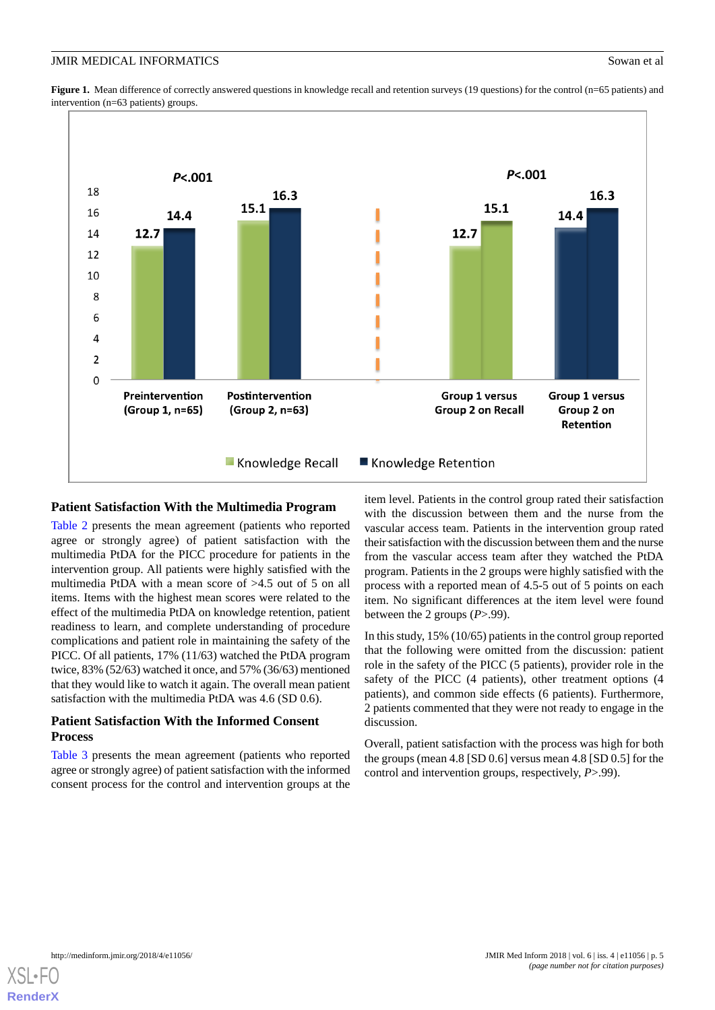<span id="page-4-0"></span>**Figure 1.** Mean difference of correctly answered questions in knowledge recall and retention surveys (19 questions) for the control (n=65 patients) and intervention (n=63 patients) groups.



### **Patient Satisfaction With the Multimedia Program**

[Table 2](#page-5-0) presents the mean agreement (patients who reported agree or strongly agree) of patient satisfaction with the multimedia PtDA for the PICC procedure for patients in the intervention group. All patients were highly satisfied with the multimedia PtDA with a mean score of >4.5 out of 5 on all items. Items with the highest mean scores were related to the effect of the multimedia PtDA on knowledge retention, patient readiness to learn, and complete understanding of procedure complications and patient role in maintaining the safety of the PICC. Of all patients, 17% (11/63) watched the PtDA program twice, 83% (52/63) watched it once, and 57% (36/63) mentioned that they would like to watch it again. The overall mean patient satisfaction with the multimedia PtDA was 4.6 (SD 0.6).

### **Patient Satisfaction With the Informed Consent Process**

[Table 3](#page-5-1) presents the mean agreement (patients who reported agree or strongly agree) of patient satisfaction with the informed consent process for the control and intervention groups at the

item level. Patients in the control group rated their satisfaction with the discussion between them and the nurse from the vascular access team. Patients in the intervention group rated their satisfaction with the discussion between them and the nurse from the vascular access team after they watched the PtDA program. Patients in the 2 groups were highly satisfied with the process with a reported mean of 4.5-5 out of 5 points on each item. No significant differences at the item level were found between the 2 groups (*P*>.99).

In this study, 15% (10/65) patients in the control group reported that the following were omitted from the discussion: patient role in the safety of the PICC (5 patients), provider role in the safety of the PICC (4 patients), other treatment options (4 patients), and common side effects (6 patients). Furthermore, 2 patients commented that they were not ready to engage in the discussion.

Overall, patient satisfaction with the process was high for both the groups (mean 4.8 [SD 0.6] versus mean 4.8 [SD 0.5] for the control and intervention groups, respectively, *P*>.99).

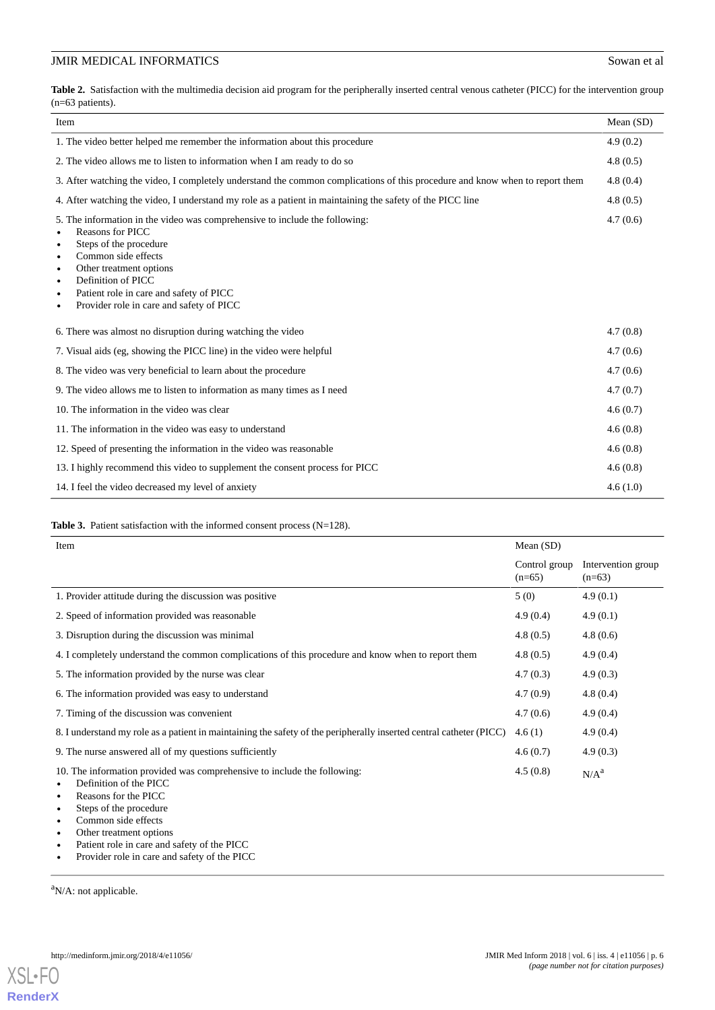<span id="page-5-0"></span>Table 2. Satisfaction with the multimedia decision aid program for the peripherally inserted central venous catheter (PICC) for the intervention group (n=63 patients).

| Item                                                                                                                                                                                                                                                                                                                                                                   | Mean $(SD)$ |
|------------------------------------------------------------------------------------------------------------------------------------------------------------------------------------------------------------------------------------------------------------------------------------------------------------------------------------------------------------------------|-------------|
| 1. The video better helped me remember the information about this procedure                                                                                                                                                                                                                                                                                            | 4.9(0.2)    |
| 2. The video allows me to listen to information when I am ready to do so                                                                                                                                                                                                                                                                                               | 4.8(0.5)    |
| 3. After watching the video, I completely understand the common complications of this procedure and know when to report them                                                                                                                                                                                                                                           | 4.8(0.4)    |
| 4. After watching the video, I understand my role as a patient in maintaining the safety of the PICC line                                                                                                                                                                                                                                                              | 4.8(0.5)    |
| 5. The information in the video was comprehensive to include the following:<br>Reasons for PICC<br>$\bullet$<br>Steps of the procedure<br>$\bullet$<br>Common side effects<br>$\bullet$<br>Other treatment options<br>$\bullet$<br>Definition of PICC<br>$\bullet$<br>Patient role in care and safety of PICC<br>$\bullet$<br>Provider role in care and safety of PICC | 4.7(0.6)    |
| 6. There was almost no disruption during watching the video                                                                                                                                                                                                                                                                                                            | 4.7(0.8)    |
| 7. Visual aids (eg, showing the PICC line) in the video were helpful                                                                                                                                                                                                                                                                                                   | 4.7(0.6)    |
| 8. The video was very beneficial to learn about the procedure                                                                                                                                                                                                                                                                                                          | 4.7(0.6)    |
| 9. The video allows me to listen to information as many times as I need                                                                                                                                                                                                                                                                                                | 4.7(0.7)    |
| 10. The information in the video was clear                                                                                                                                                                                                                                                                                                                             | 4.6(0.7)    |
| 11. The information in the video was easy to understand                                                                                                                                                                                                                                                                                                                | 4.6(0.8)    |
| 12. Speed of presenting the information in the video was reasonable                                                                                                                                                                                                                                                                                                    | 4.6(0.8)    |
| 13. I highly recommend this video to supplement the consent process for PICC                                                                                                                                                                                                                                                                                           | 4.6(0.8)    |
| 14. I feel the video decreased my level of anxiety                                                                                                                                                                                                                                                                                                                     | 4.6(1.0)    |

### <span id="page-5-1"></span>Table 3. Patient satisfaction with the informed consent process (N=128).

| Item                                                                                                                                                                                                               | Mean $(SD)$               |                                |
|--------------------------------------------------------------------------------------------------------------------------------------------------------------------------------------------------------------------|---------------------------|--------------------------------|
|                                                                                                                                                                                                                    | Control group<br>$(n=65)$ | Intervention group<br>$(n=63)$ |
| 1. Provider attitude during the discussion was positive                                                                                                                                                            | 5(0)                      | 4.9(0.1)                       |
| 2. Speed of information provided was reasonable                                                                                                                                                                    | 4.9(0.4)                  | 4.9(0.1)                       |
| 3. Disruption during the discussion was minimal                                                                                                                                                                    | 4.8(0.5)                  | 4.8(0.6)                       |
| 4. I completely understand the common complications of this procedure and know when to report them                                                                                                                 | 4.8(0.5)                  | 4.9(0.4)                       |
| 5. The information provided by the nurse was clear                                                                                                                                                                 | 4.7(0.3)                  | 4.9(0.3)                       |
| 6. The information provided was easy to understand                                                                                                                                                                 | 4.7(0.9)                  | 4.8(0.4)                       |
| 7. Timing of the discussion was convenient                                                                                                                                                                         | 4.7(0.6)                  | 4.9(0.4)                       |
| 8. I understand my role as a patient in maintaining the safety of the peripherally inserted central catheter (PICC)                                                                                                | 4.6(1)                    | 4.9(0.4)                       |
| 9. The nurse answered all of my questions sufficiently                                                                                                                                                             | 4.6(0.7)                  | 4.9(0.3)                       |
| 10. The information provided was comprehensive to include the following:<br>Definition of the PICC<br>$\bullet$<br>Reasons for the PICC<br>$\bullet$<br>Steps of the procedure<br>$\bullet$<br>Common side effects | 4.5(0.8)                  | N/A <sup>a</sup>               |

• Other treatment options Patient role in care and safety of the PICC

• Provider role in care and safety of the PICC

<sup>a</sup>N/A: not applicable.

**[RenderX](http://www.renderx.com/)**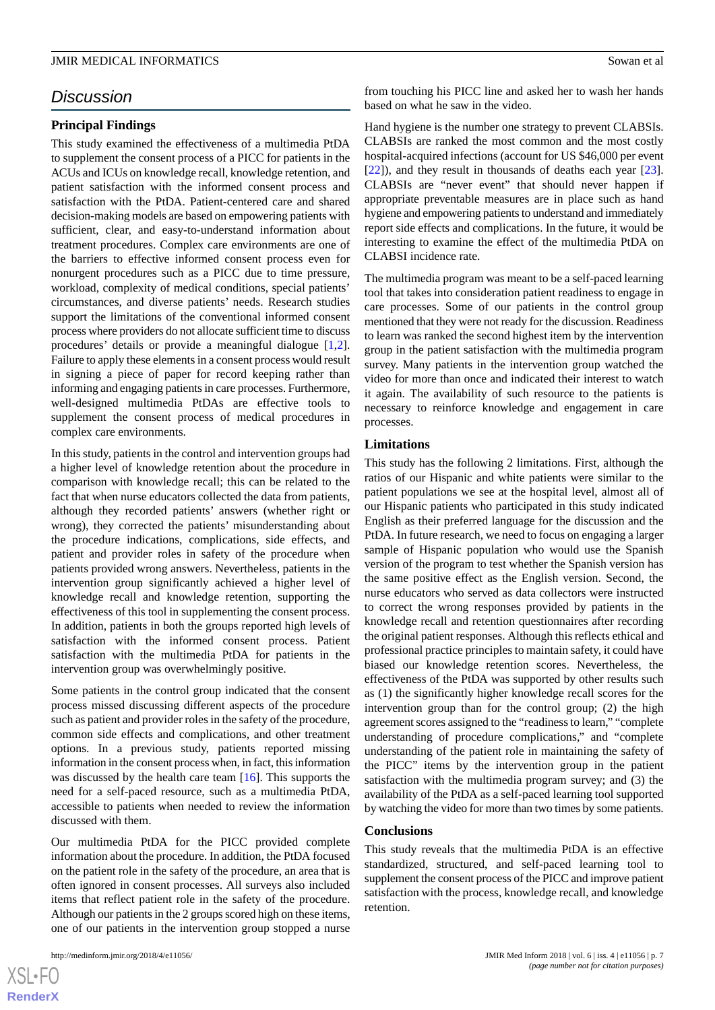# *Discussion*

### **Principal Findings**

This study examined the effectiveness of a multimedia PtDA to supplement the consent process of a PICC for patients in the ACUs and ICUs on knowledge recall, knowledge retention, and patient satisfaction with the informed consent process and satisfaction with the PtDA. Patient-centered care and shared decision-making models are based on empowering patients with sufficient, clear, and easy-to-understand information about treatment procedures. Complex care environments are one of the barriers to effective informed consent process even for nonurgent procedures such as a PICC due to time pressure, workload, complexity of medical conditions, special patients' circumstances, and diverse patients' needs. Research studies support the limitations of the conventional informed consent process where providers do not allocate sufficient time to discuss procedures' details or provide a meaningful dialogue [\[1](#page-7-0),[2\]](#page-7-1). Failure to apply these elements in a consent process would result in signing a piece of paper for record keeping rather than informing and engaging patients in care processes. Furthermore, well-designed multimedia PtDAs are effective tools to supplement the consent process of medical procedures in complex care environments.

In this study, patients in the control and intervention groups had a higher level of knowledge retention about the procedure in comparison with knowledge recall; this can be related to the fact that when nurse educators collected the data from patients, although they recorded patients' answers (whether right or wrong), they corrected the patients' misunderstanding about the procedure indications, complications, side effects, and patient and provider roles in safety of the procedure when patients provided wrong answers. Nevertheless, patients in the intervention group significantly achieved a higher level of knowledge recall and knowledge retention, supporting the effectiveness of this tool in supplementing the consent process. In addition, patients in both the groups reported high levels of satisfaction with the informed consent process. Patient satisfaction with the multimedia PtDA for patients in the intervention group was overwhelmingly positive.

Some patients in the control group indicated that the consent process missed discussing different aspects of the procedure such as patient and provider roles in the safety of the procedure, common side effects and complications, and other treatment options. In a previous study, patients reported missing information in the consent process when, in fact, this information was discussed by the health care team [\[16](#page-7-8)]. This supports the need for a self-paced resource, such as a multimedia PtDA, accessible to patients when needed to review the information discussed with them.

Our multimedia PtDA for the PICC provided complete information about the procedure. In addition, the PtDA focused on the patient role in the safety of the procedure, an area that is often ignored in consent processes. All surveys also included items that reflect patient role in the safety of the procedure. Although our patients in the 2 groups scored high on these items, one of our patients in the intervention group stopped a nurse

from touching his PICC line and asked her to wash her hands based on what he saw in the video.

Hand hygiene is the number one strategy to prevent CLABSIs. CLABSIs are ranked the most common and the most costly hospital-acquired infections (account for US \$46,000 per event [[22\]](#page-8-5)), and they result in thousands of deaths each year [[23\]](#page-8-6). CLABSIs are "never event" that should never happen if appropriate preventable measures are in place such as hand hygiene and empowering patients to understand and immediately report side effects and complications. In the future, it would be interesting to examine the effect of the multimedia PtDA on CLABSI incidence rate.

The multimedia program was meant to be a self-paced learning tool that takes into consideration patient readiness to engage in care processes. Some of our patients in the control group mentioned that they were not ready for the discussion. Readiness to learn was ranked the second highest item by the intervention group in the patient satisfaction with the multimedia program survey. Many patients in the intervention group watched the video for more than once and indicated their interest to watch it again. The availability of such resource to the patients is necessary to reinforce knowledge and engagement in care processes.

### **Limitations**

This study has the following 2 limitations. First, although the ratios of our Hispanic and white patients were similar to the patient populations we see at the hospital level, almost all of our Hispanic patients who participated in this study indicated English as their preferred language for the discussion and the PtDA. In future research, we need to focus on engaging a larger sample of Hispanic population who would use the Spanish version of the program to test whether the Spanish version has the same positive effect as the English version. Second, the nurse educators who served as data collectors were instructed to correct the wrong responses provided by patients in the knowledge recall and retention questionnaires after recording the original patient responses. Although this reflects ethical and professional practice principles to maintain safety, it could have biased our knowledge retention scores. Nevertheless, the effectiveness of the PtDA was supported by other results such as (1) the significantly higher knowledge recall scores for the intervention group than for the control group; (2) the high agreement scores assigned to the "readiness to learn," "complete understanding of procedure complications," and "complete understanding of the patient role in maintaining the safety of the PICC" items by the intervention group in the patient satisfaction with the multimedia program survey; and (3) the availability of the PtDA as a self-paced learning tool supported by watching the video for more than two times by some patients.

### **Conclusions**

This study reveals that the multimedia PtDA is an effective standardized, structured, and self-paced learning tool to supplement the consent process of the PICC and improve patient satisfaction with the process, knowledge recall, and knowledge retention.

 $XS$ -FO **[RenderX](http://www.renderx.com/)**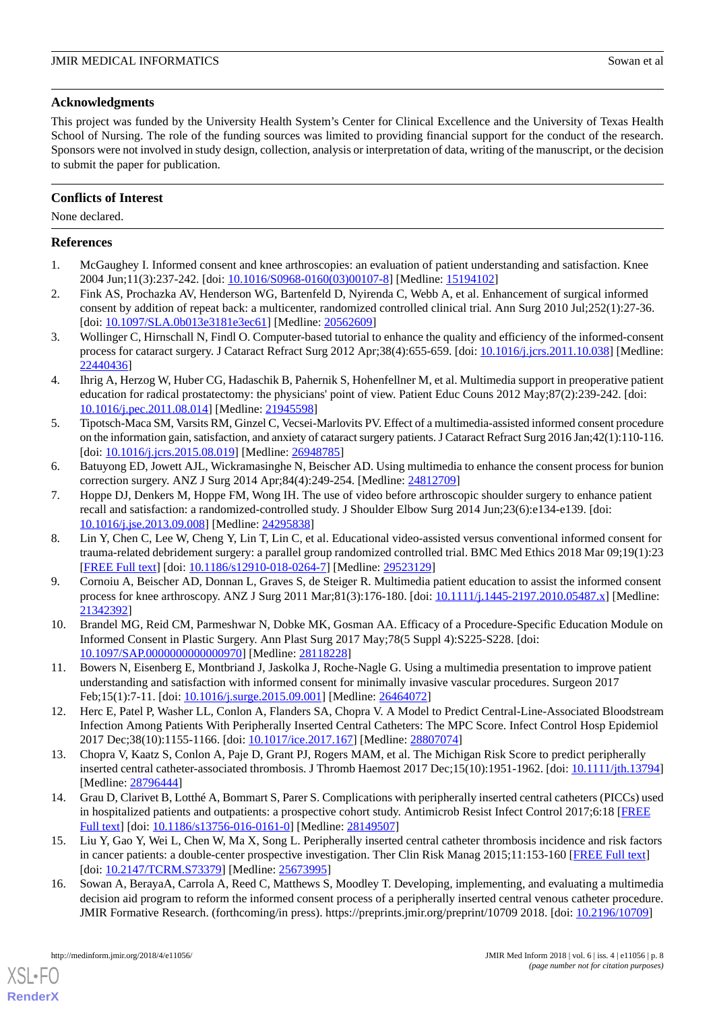### **Acknowledgments**

This project was funded by the University Health System's Center for Clinical Excellence and the University of Texas Health School of Nursing. The role of the funding sources was limited to providing financial support for the conduct of the research. Sponsors were not involved in study design, collection, analysis or interpretation of data, writing of the manuscript, or the decision to submit the paper for publication.

### **Conflicts of Interest**

None declared.

### <span id="page-7-0"></span>**References**

- <span id="page-7-1"></span>1. McGaughey I. Informed consent and knee arthroscopies: an evaluation of patient understanding and satisfaction. Knee 2004 Jun;11(3):237-242. [doi: [10.1016/S0968-0160\(03\)00107-8](http://dx.doi.org/10.1016/S0968-0160(03)00107-8)] [Medline: [15194102\]](http://www.ncbi.nlm.nih.gov/entrez/query.fcgi?cmd=Retrieve&db=PubMed&list_uids=15194102&dopt=Abstract)
- <span id="page-7-2"></span>2. Fink AS, Prochazka AV, Henderson WG, Bartenfeld D, Nyirenda C, Webb A, et al. Enhancement of surgical informed consent by addition of repeat back: a multicenter, randomized controlled clinical trial. Ann Surg 2010 Jul;252(1):27-36. [doi: [10.1097/SLA.0b013e3181e3ec61](http://dx.doi.org/10.1097/SLA.0b013e3181e3ec61)] [Medline: [20562609](http://www.ncbi.nlm.nih.gov/entrez/query.fcgi?cmd=Retrieve&db=PubMed&list_uids=20562609&dopt=Abstract)]
- 3. Wollinger C, Hirnschall N, Findl O. Computer-based tutorial to enhance the quality and efficiency of the informed-consent process for cataract surgery. J Cataract Refract Surg 2012 Apr;38(4):655-659. [doi: [10.1016/j.jcrs.2011.10.038\]](http://dx.doi.org/10.1016/j.jcrs.2011.10.038) [Medline: [22440436](http://www.ncbi.nlm.nih.gov/entrez/query.fcgi?cmd=Retrieve&db=PubMed&list_uids=22440436&dopt=Abstract)]
- 4. Ihrig A, Herzog W, Huber CG, Hadaschik B, Pahernik S, Hohenfellner M, et al. Multimedia support in preoperative patient education for radical prostatectomy: the physicians' point of view. Patient Educ Couns 2012 May;87(2):239-242. [doi: [10.1016/j.pec.2011.08.014\]](http://dx.doi.org/10.1016/j.pec.2011.08.014) [Medline: [21945598](http://www.ncbi.nlm.nih.gov/entrez/query.fcgi?cmd=Retrieve&db=PubMed&list_uids=21945598&dopt=Abstract)]
- 5. Tipotsch-Maca SM, Varsits RM, Ginzel C, Vecsei-Marlovits PV. Effect of a multimedia-assisted informed consent procedure on the information gain, satisfaction, and anxiety of cataract surgery patients. J Cataract Refract Surg 2016 Jan;42(1):110-116. [doi: [10.1016/j.jcrs.2015.08.019](http://dx.doi.org/10.1016/j.jcrs.2015.08.019)] [Medline: [26948785](http://www.ncbi.nlm.nih.gov/entrez/query.fcgi?cmd=Retrieve&db=PubMed&list_uids=26948785&dopt=Abstract)]
- 6. Batuyong ED, Jowett AJL, Wickramasinghe N, Beischer AD. Using multimedia to enhance the consent process for bunion correction surgery. ANZ J Surg 2014 Apr;84(4):249-254. [Medline: [24812709\]](http://www.ncbi.nlm.nih.gov/entrez/query.fcgi?cmd=Retrieve&db=PubMed&list_uids=24812709&dopt=Abstract)
- 7. Hoppe DJ, Denkers M, Hoppe FM, Wong IH. The use of video before arthroscopic shoulder surgery to enhance patient recall and satisfaction: a randomized-controlled study. J Shoulder Elbow Surg 2014 Jun;23(6):e134-e139. [doi: [10.1016/j.jse.2013.09.008\]](http://dx.doi.org/10.1016/j.jse.2013.09.008) [Medline: [24295838](http://www.ncbi.nlm.nih.gov/entrez/query.fcgi?cmd=Retrieve&db=PubMed&list_uids=24295838&dopt=Abstract)]
- 8. Lin Y, Chen C, Lee W, Cheng Y, Lin T, Lin C, et al. Educational video-assisted versus conventional informed consent for trauma-related debridement surgery: a parallel group randomized controlled trial. BMC Med Ethics 2018 Mar 09;19(1):23 [[FREE Full text](https://bmcmedethics.biomedcentral.com/articles/10.1186/s12910-018-0264-7)] [doi: [10.1186/s12910-018-0264-7\]](http://dx.doi.org/10.1186/s12910-018-0264-7) [Medline: [29523129](http://www.ncbi.nlm.nih.gov/entrez/query.fcgi?cmd=Retrieve&db=PubMed&list_uids=29523129&dopt=Abstract)]
- <span id="page-7-4"></span><span id="page-7-3"></span>9. Cornoiu A, Beischer AD, Donnan L, Graves S, de Steiger R. Multimedia patient education to assist the informed consent process for knee arthroscopy. ANZ J Surg 2011 Mar;81(3):176-180. [doi: [10.1111/j.1445-2197.2010.05487.x](http://dx.doi.org/10.1111/j.1445-2197.2010.05487.x)] [Medline: [21342392](http://www.ncbi.nlm.nih.gov/entrez/query.fcgi?cmd=Retrieve&db=PubMed&list_uids=21342392&dopt=Abstract)]
- <span id="page-7-5"></span>10. Brandel MG, Reid CM, Parmeshwar N, Dobke MK, Gosman AA. Efficacy of a Procedure-Specific Education Module on Informed Consent in Plastic Surgery. Ann Plast Surg 2017 May;78(5 Suppl 4):S225-S228. [doi: [10.1097/SAP.0000000000000970\]](http://dx.doi.org/10.1097/SAP.0000000000000970) [Medline: [28118228](http://www.ncbi.nlm.nih.gov/entrez/query.fcgi?cmd=Retrieve&db=PubMed&list_uids=28118228&dopt=Abstract)]
- <span id="page-7-6"></span>11. Bowers N, Eisenberg E, Montbriand J, Jaskolka J, Roche-Nagle G. Using a multimedia presentation to improve patient understanding and satisfaction with informed consent for minimally invasive vascular procedures. Surgeon 2017 Feb;15(1):7-11. [doi: [10.1016/j.surge.2015.09.001](http://dx.doi.org/10.1016/j.surge.2015.09.001)] [Medline: [26464072\]](http://www.ncbi.nlm.nih.gov/entrez/query.fcgi?cmd=Retrieve&db=PubMed&list_uids=26464072&dopt=Abstract)
- 12. Herc E, Patel P, Washer LL, Conlon A, Flanders SA, Chopra V. A Model to Predict Central-Line-Associated Bloodstream Infection Among Patients With Peripherally Inserted Central Catheters: The MPC Score. Infect Control Hosp Epidemiol 2017 Dec;38(10):1155-1166. [doi: [10.1017/ice.2017.167](http://dx.doi.org/10.1017/ice.2017.167)] [Medline: [28807074\]](http://www.ncbi.nlm.nih.gov/entrez/query.fcgi?cmd=Retrieve&db=PubMed&list_uids=28807074&dopt=Abstract)
- <span id="page-7-7"></span>13. Chopra V, Kaatz S, Conlon A, Paje D, Grant PJ, Rogers MAM, et al. The Michigan Risk Score to predict peripherally inserted central catheter-associated thrombosis. J Thromb Haemost 2017 Dec;15(10):1951-1962. [doi: [10.1111/jth.13794](http://dx.doi.org/10.1111/jth.13794)] [Medline: [28796444](http://www.ncbi.nlm.nih.gov/entrez/query.fcgi?cmd=Retrieve&db=PubMed&list_uids=28796444&dopt=Abstract)]
- <span id="page-7-8"></span>14. Grau D, Clarivet B, Lotthé A, Bommart S, Parer S. Complications with peripherally inserted central catheters (PICCs) used in hospitalized patients and outpatients: a prospective cohort study. Antimicrob Resist Infect Control 2017;6:18 [\[FREE](https://aricjournal.biomedcentral.com/articles/10.1186/s13756-016-0161-0) [Full text\]](https://aricjournal.biomedcentral.com/articles/10.1186/s13756-016-0161-0) [doi: [10.1186/s13756-016-0161-0](http://dx.doi.org/10.1186/s13756-016-0161-0)] [Medline: [28149507](http://www.ncbi.nlm.nih.gov/entrez/query.fcgi?cmd=Retrieve&db=PubMed&list_uids=28149507&dopt=Abstract)]
- 15. Liu Y, Gao Y, Wei L, Chen W, Ma X, Song L. Peripherally inserted central catheter thrombosis incidence and risk factors in cancer patients: a double-center prospective investigation. Ther Clin Risk Manag 2015;11:153-160 [\[FREE Full text\]](https://dx.doi.org/10.2147/TCRM.S73379) [doi: [10.2147/TCRM.S73379\]](http://dx.doi.org/10.2147/TCRM.S73379) [Medline: [25673995](http://www.ncbi.nlm.nih.gov/entrez/query.fcgi?cmd=Retrieve&db=PubMed&list_uids=25673995&dopt=Abstract)]
- 16. Sowan A, BerayaA, Carrola A, Reed C, Matthews S, Moodley T. Developing, implementing, and evaluating a multimedia decision aid program to reform the informed consent process of a peripherally inserted central venous catheter procedure. JMIR Formative Research. (forthcoming/in press). https://preprints.jmir.org/preprint/10709 2018. [doi: [10.2196/10709](http://dx.doi.org/10.2196/10709)]

[XSL](http://www.w3.org/Style/XSL)•FO **[RenderX](http://www.renderx.com/)**